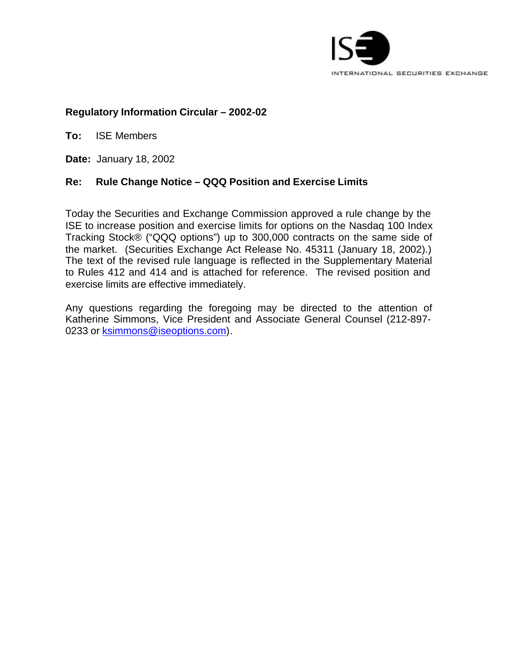

### **Regulatory Information Circular – 2002-02**

**To:** ISE Members

**Date:** January 18, 2002

# **Re: Rule Change Notice – QQQ Position and Exercise Limits**

Today the Securities and Exchange Commission approved a rule change by the ISE to increase position and exercise limits for options on the Nasdaq 100 Index Tracking Stock® ("QQQ options") up to 300,000 contracts on the same side of the market. (Securities Exchange Act Release No. 45311 (January 18, 2002).) The text of the revised rule language is reflected in the Supplementary Material to Rules 412 and 414 and is attached for reference. The revised position and exercise limits are effective immediately.

Any questions regarding the foregoing may be directed to the attention of Katherine Simmons, Vice President and Associate General Counsel (212-897- 0233 or ksimmons@iseoptions.com).